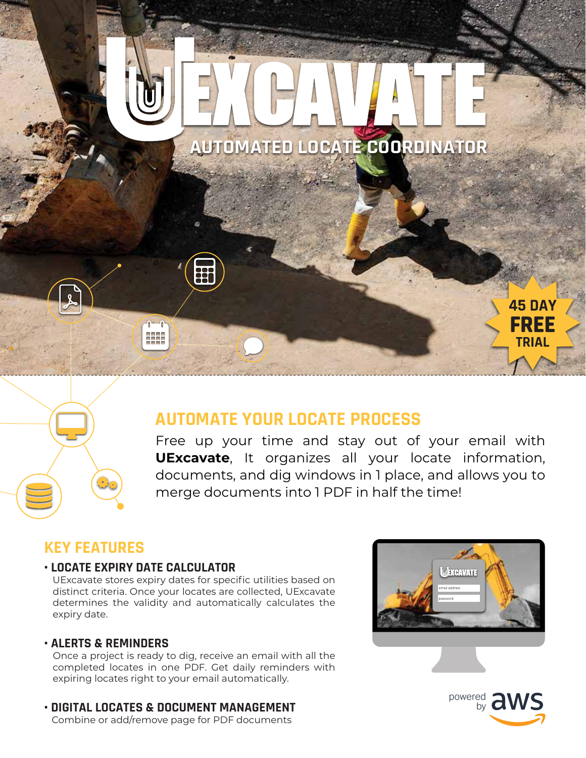

# **AUTOMATE YOUR LOCATE PROCESS**

Free up your time and stay out of your email with **UExcavate**, It organizes all your locate information, documents, and dig windows in 1 place, and allows you to merge documents into 1 PDF in half the time!

## **KEY FEATURES**

#### **• LOCATE EXPIRY DATE CALCULATOR**

 UExcavate stores expiry dates for specific utilities based on distinct criteria. Once your locates are collected, UExcavate determines the validity and automatically calculates the expiry date.

#### **• ALERTS & REMINDERS**

 Once a project is ready to dig, receive an email with all the completed locates in one PDF. Get daily reminders with expiring locates right to your email automatically.

**• DIGITAL LOCATES & DOCUMENT MANAGEMENT** Combine or add/remove page for PDF documents